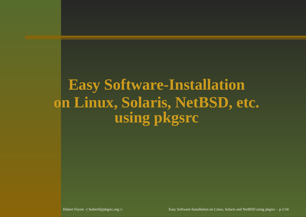### **Easy Software-Installation on Linux, Solaris, NetBSD, etc. using pkgsrc**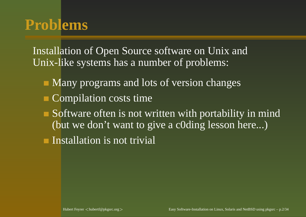#### **Problems**

Installation of Open Source software on Unix and Unix-like systems has <sup>a</sup> number of problems:

- Many programs and lots of version changes
- Compilation costs time
- Software often is not written with portability in mind (but we don't want to give <sup>a</sup> c0ding lesson here...)

Installation is not trivial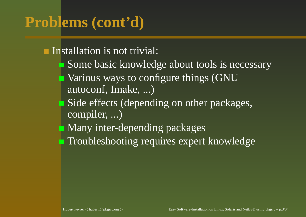## **Problems (cont'd)**

Installation is not trivial:

- Some basic knowledge about tools is necessary
- Various ways to configure things (GNU autoconf, Imake, ...)
- Side effects (depending on other packages, compiler, ...)
- **Many inter-depending packages**
- **Troubleshooting requires expert knowledge**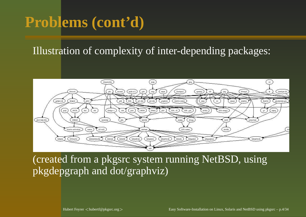#### **Problems (cont'd)**

#### Illustration of complexity of inter-depending packages:



(created from <sup>a</sup> pkgsrc system running NetBSD, using pkgdepgraph and dot/graphviz)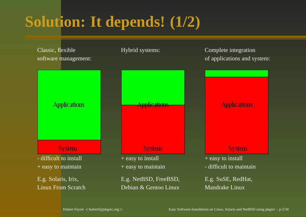## **Solution: It depends! (1/2)**

Classic, flexible Hybrid systems: Complete integration software management: **Applications** Annlications **System System** - difficult to install + easy to install + easy to maintain + easy to maintain E.g. Solaris, Irix, E.g. NetBSD, FreeBSD, Linux From Scratch Debian & Gentoo Linux Mandrake Linux

of applications and system:

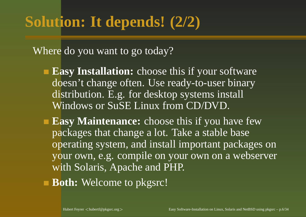Where do you want to go today?

- **Easy Installation:** choose this if your software doesn't change often. Use ready-to-user binary distribution. E.g. for desktop systems install Windows or SuSE Linux from CD/DVD.
- **Easy Maintenance:** choose this if you have few packages that change <sup>a</sup> lot. Take <sup>a</sup> stable base operating system, and install important packages on your own, e.g. compile on your own on <sup>a</sup> webserver with Solaris, Apache and PHP.
- **Both:** Welcome to pkgsrc!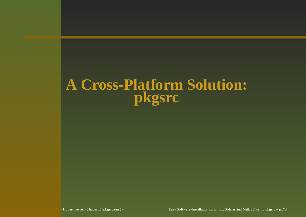#### **A Cross-Platform Solution: pkgsrc**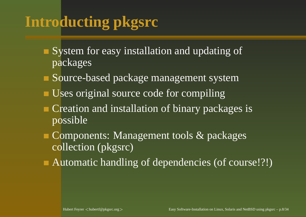## **Introducting pkgsrc**

- System for easy installation and updating of packages
- Source-based package managemen<sup>t</sup> system
- Uses original source code for compiling
- Creation and installation of binary packages is possible
- Components: Management tools & packages collection (pkgsrc)
- Automatic handling of dependencies (of course!?!)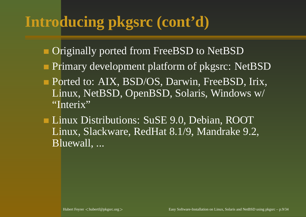### **Introducing pkgsrc (cont'd)**

- Originally ported from FreeBSD to NetBSD
- Primary development platform of pkgsrc: NetBSD
- Ported to: AIX, BSD/OS, Darwin, FreeBSD, Irix, Linux, NetBSD, OpenBSD, Solaris, Windows w/ "Interix"
- Linux Distributions: SuSE 9.0, Debian, ROOT Linux, Slackware, RedHat 8.1/9, Mandrake 9.2, Bluewall, ...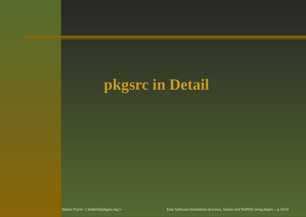## **pkgsrc in Detail**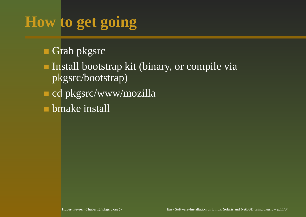## **How to get going**

Grab pkgsrc

Install bootstrap kit (binary, or compile via pkgsrc/bootstrap)

cd pkgsrc/www/mozilla

bmake install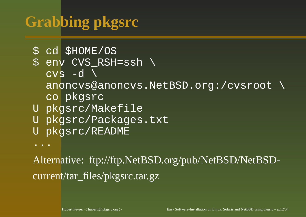## **Grabbing pkgsrc**

```
$ cd $HOME/OS
```

$$
\texttt{\$ env CVS\_RSH=ssh }\setminus
$$

 $\text{cvs}$  -d  $\backslash$ 

anoncvs@anoncvs.NetBSD.org:/cvsroot \

- co pkgsrc
- U pkgsrc/Makefile
- Upkgsrc/Packages.txt
- U pkgsrc/README

...

Alternative: ftp://ftp.NetBSD.org/pub/NetBSD/NetBSDcurrent/tar\_files/pkgsrc.tar.gz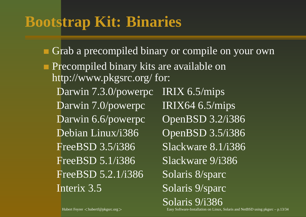### **Bootstrap Kit: Binaries**

Grab <sup>a</sup> precompiled binary or compile on your own Precompiled binary kits are available on http://www.pkgsrc.org/ for: Darwin 7.3.0/powerpc IRIX 6.5/mips Darwin 7.0/powerpc IRIX64 6.5/mips Darwin 6.6/powerpc OpenBSD 3.2/i386 Debian Linux/i386 OpenBSD 3.5/i386 **FreeBSD** 3.5/i386 Slackware 8.1/i386 **FreeBSD 5.1/i386** Slackware 9/i386 FreeBSD 5.2.1/i386 Solaris 8/sparc Interix 3.5 Solaris 9/sparc

Easy Software-Installation on Linux, Solaris and NetBSD using pkgsrc – p.13/34

Solaris 9/i386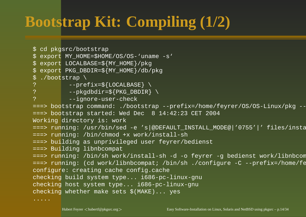## **Bootstrap Kit: Compiling (1/2)**

```
$ cd pkgsrc/bootstrap
$ export MY_HOME=$HOME/OS/OS-'uname -s'
$ export LOCALBASE=${MY_HOME}/pkg
$ export PKG_DBDIR=${MY_HOME}/db/pkg
$ ./bootstrap \
? --prefix=${LOCALBASE} \
? --pkgdbdir=${PKG_DBDIR} \
? --ignore-user-check
===> bootstrap command: ./bootstrap --prefix=/home/feyrer/OS/OS-Linux/pkg -
===> bootstrap started: Wed Dec 8 14:42:23 CET 2004
Working directory is: work
===> running: /usr/bin/sed -e 's|@DEFAULT_INSTALL_MODE@|'0755'|' files/inst
===> running: /bin/chmod +x work/install-sh
===> building as unprivileged user feyrer/bedienst
===> Building libnbcompat
===> running: /bin/sh work/install-sh -d -o feyrer -g bedienst work/libnbco
===> running: (cd work/libnbcompat; /bin/sh ./configure -C --prefix=/home/f
configure: creating cache config.cache
checking build system type... i686-pc-linux-gnu
checking host system type... i686-pc-linux-gnu
checking whether make sets $(MAKE)... yes
.....
```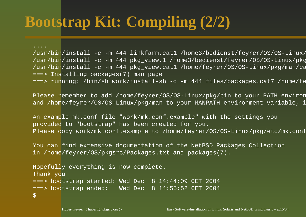## **Bootstrap Kit: Compiling (2/2)**

....

/usr/bin/install -c -m 444 linkfarm.cat1 /home3/bedienst/feyrer/OS/OS-Linux /usr/bin/install -c -m 444 pkg view.1 /home3/bedienst/feyrer/OS/OS-Linux/pk /usr/bin/install -c -m 444 pkg\_view.cat1 /home/feyrer/OS/OS-Linux/pkg/man/o ===> Installing packages(7) man page ===> running: /bin/sh work/install-sh -c -m 444 files/packages.cat7 /home/f

Please remember to add /home/feyrer/OS/OS-Linux/pkg/bin to your PATH envirc and /home/feyrer/OS/OS-Linux/pkg/man to your MANPATH environment variable,

An example mk.conf file "work/mk.conf.example" with the settings you provided to "bootstrap" has been created for you. Please copy work/mk.conf.example to /home/feyrer/OS/OS-Linux/pkg/etc/mk.conf.

You can find extensive documentation of the NetBSD Packages Collection in /home/feyrer/OS/pkgsrc/Packages.txt and packages(7).

```
Hopefully everything is now complete.
Thank you
===> bootstrap started: Wed Dec 8 14:44:09 CET 2004
===> bootstrap ended: Wed Dec 8 14:55:52 CET 2004
\boldsymbol{\zeta}
```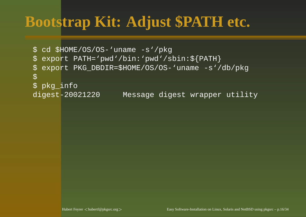### **Bootstrap Kit: Adjust \$PATH etc.**

```
$ cd $HOME/OS/OS-'uname -s'/pkg
$ export PATH='pwd'/bin:'pwd'/sbin:${PATH}
$ export PKG_DBDIR=$HOME/OS/OS-'uname -s'/db/pkg
\overline{\varsigma}$ pkg_info
digest-20021220 Message digest wrapper utility
```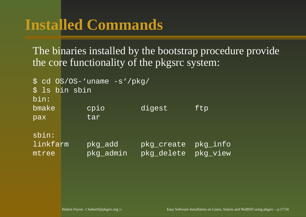The binaries installed by the bootstrap procedure provide the core functionality of the pkgsrc system:

\$ cd OS/OS-'uname -s'/pkg/ \$ ls bin sbin bin:bmake cpio digest ftp pax tar sbin:linkfarm pkg\_add pkg\_create pkg\_info mtreepkg\_admin pkg\_delete pkg\_view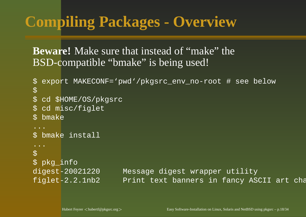### **Compiling Packages - Overview**

#### **Beware!** Make sure that instead of "make" the BSD-compatible "bmake" is being used!

```
$ export MAKECONF='pwd'/pkgsrc_env_no-root # see below
\overline{\varsigma}$ cd $HOME/OS/pkgsrc
$ cd misc/figlet
$ bmake
...$ bmake install
...\boldsymbol{\mathsf{S}}$ pkg_info
digest-20021220 Message digest wrapper utility
figlet-2.2.1nb2 Print text banners in fancy ASCII art ch
```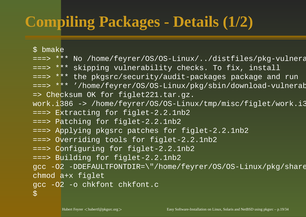## **Compiling Packages - Details (1/2)**

\$ bmake

- ===> \*\*\* No /home/feyrer/OS/OS-Linux/../distfiles/pkg-vulner
- ===> \*\*\* skipping vulnerability checks. To fix, install
- ===> \*\*\* the pkgsrc/security/audit-packages package and run
- ===> \*\*\* '/home/feyrer/OS/OS-Linux/pkg/sbin/download-vulnerability-list'. => Checksum OK for figlet221.tar.gz.
- work.i386 -> /home/feyrer/OS/OS-Linux/tmp/misc/figlet/work.i386
- ===> Extracting for figlet-2.2.1nb2
- ===> Patching for figlet-2.2.1nb2
- ===> Applying pkgsrc patches for figlet-2.2.1nb2
- ===> Overriding tools for figlet-2.2.1nb2
- ===> Configuring for figlet-2.2.1nb2
- ===> Building for figlet-2.2.1nb2
- gcc -O2 -DDEFAULTFONTDIR=\"/home/feyrer/OS/OS-Linux/pkg/shar chmod a+x figlet

```
gcc -O2 -o chkfont chkfont.c
```

```
\mathcal{S}
```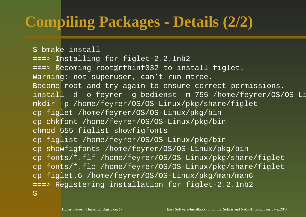## **Compiling Packages - Details (2/2)**

```
$ bmake install
===> Installing for figlet-2.2.1nb2
===> Becoming root@rfhinf032 to install figlet.
Warning: not superuser, can't run mtree.
Become root and try again to ensure correct permissions.
install -d -o feyrer -g bedienst -m 755 /home/feyrer/OS/OS-L
mkdir -p /home/feyrer/OS/OS-Linux/pkg/share/figlet
cp figlet /home/feyrer/OS/OS-Linux/pkg/bin
cp chkfont /home/feyrer/OS/OS-Linux/pkg/bin
chmod 555 figlist showfigfonts
cp figlist /home/feyrer/OS/OS-Linux/pkg/bin
cp showfigfonts /home/feyrer/OS/OS-Linux/pkg/bin
cp fonts/*.flf /home/feyrer/OS/OS-Linux/pkg/share/figlet
cp fonts/*.flc /home/feyrer/OS/OS-Linux/pkg/share/figlet
cp figlet.6 /home/feyrer/OS/OS-Linux/pkg/man/man6
===> Registering installation for figlet-2.2.1nb2
\overline{S}
```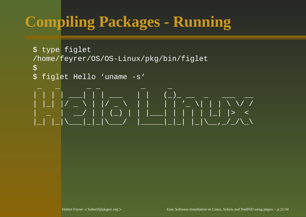## **Compiling Packages - Running**

```
$ type figlet
/home/feyrer/OS/OS-Linux/pkg/bin/figlet
\boldsymbol{\zeta}$ figlet Hello 'uname -s'
 _ _ _ _ _ _
| | | | <u>_ |</u> | | _ | | | (_)_ _ _ _ _ _
| |_| |/ _ \ | |/ _ \ | | | | '_ \| | | \ \/ /
| _ | __/ | | (_) | | |___| | | | | |_| |> <
|_| |_|\___|_|_|\___/ |_____|_|_| |_|\__,_/_/\_\
```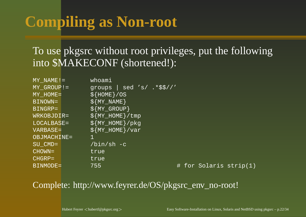## **Compiling as Non-root**

#### To use pkgsrc without root privileges, pu<sup>t</sup> the following into \$MAKECONF (shortened!):

| $MY\_NAME !=$ | whoami                             |                        |  |
|---------------|------------------------------------|------------------------|--|
| $MY$ GROUP! = | $ $ sed 's/ .*\$\$//'<br>groups    |                        |  |
| $MY$ HOME =   | $$ \{ HOME \} / OS$                |                        |  |
| BINOWN=       | $\frac{1}{2}$ $\{$ MY_NAME $\}$    |                        |  |
| BINGRP=       | $$$ {MY_GROUP}                     |                        |  |
| WRKOBJDIR=    | $$$ {MY_HOME}/tmp                  |                        |  |
| LOCALBASE=    | $$$ {MY_HOME}/pkg                  |                        |  |
| VARBASE=      | $\frac{1}{2}$ $\{MY\_HOME\} / var$ |                        |  |
| OBJMACHINE=   |                                    |                        |  |
| SU CMD=       | $/bin/sh -c$                       |                        |  |
| $CHOWN =$     | true                               |                        |  |
| CHGRP=        | true                               |                        |  |
| BINMODE=      | 755                                | # for Solaris strip(1) |  |

#### Complete: http://www.feyrer.de/OS/pkgsrc\_env\_no-root!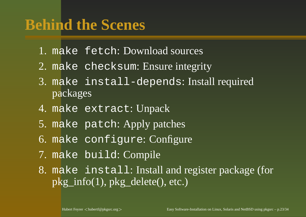- 1. make fetch: Download sources
- 2. make checksum: Ensure integrity
- 3. make install-depends: Install required packages
- 4. make extract: Unpack
- 5. make patch: Apply patches
- 6. make configure: Configure
- 7. make build: Compile
- 8. make install: Install and register package (for pkg\_info(1), pkg\_delete(), etc.)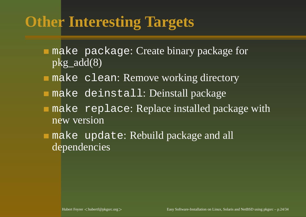### **Other Interesting Targets**

- make package: Create binary package for pkg\_add(8)
- make clean: Remove working directory
- make deinstall: Deinstall package
- make replace: Replace installed package with new version
- make update: Rebuild package and all dependencies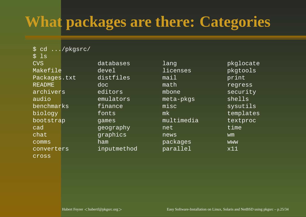## **What packages are there: Categories**

\$ cd .../pkgsrc/  $$$   $1s$ CVSMakefilePackages.txt distfiles mail print READMEarchiversaudiobenchmarksbiology fonts mk templates bootstrap games multimedia textproc cadchatcommsconverterscross

inputmethod parallel x11

databases lang pkglocate devel licenses pkgtools doc math regress editors mbone security emulators meta-pkgs shells finance misc sysutils geography net time graphics news wm ham packages www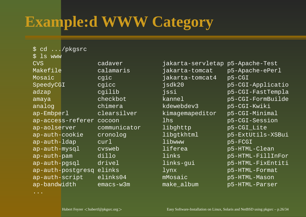## **Example:d WWW Category**

\$ cd .../pkgsrc \$ ls www CVSMakefileMosaicap-auth-ldap curl libwww p5-FCGI ap-bandwidth emacs-w3m make\_album p5-HTML-Parser

 cadaver jakarta-servletap p5-Apache-Test calamaris jakarta-tomcat p5-Apache-ePerl cgic jakarta-tomcat4 p5-CGI SpeedyCGI cgicc jsdk20 p5-CGI-Applicatio adzap cgilib jssi p5-CGI-FastTempla amaya checkbot kannel p5-CGI-FormBuilde analog chimera kdewebdev3 p5-CGI-Kwiki ap-Embperl clearsilver kimagemapeditor p5-CGI-Minimal ap-access-referer cocoon lhs b5-CGI-Session ap-aolserver communicator libghttp p5-CGI Lite ap-auth-cookie cronolog libgtkhtml p5-ExtUtils-XSBui ap-auth-mysql cvsweb liferea p5-HTML-Clean ap-auth-pam dillo links p5-HTML-FillInFor ap-auth-pgsql drivel links-gui p5-HTML-FixEntiti ap-auth-postgresq elinks lynx b5-HTML-Format ap-auth-script elinks04 mMosaic p5-HTML-Mason

...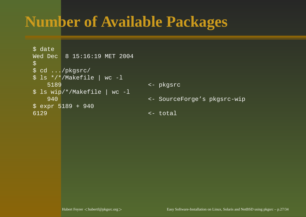### **Number of Available Packages**

```
$ date
Wed Dec 8 15:16:19 MET 2004
\boldsymbol{\zeta}$ cd .../pkgsrc/
$ ls */*/Makefile | wc -l
    5189 <- pkgsrc
$ ls wip/*/Makefile | wc -l
    940 <- SourceForge's pkgsrc-wip
$ expr 5189 + 940
6129 <- total
```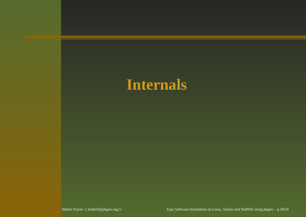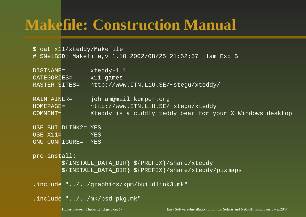#### **Makefile: Construction Manual**

\$ cat x11/xteddy/Makefile # \$NetBSD: Makefile,v 1.10 2002/08/25 21:52:57 jlam Exp \$

| DISTNAME=           | $x$ teddy-1.1                                                 |
|---------------------|---------------------------------------------------------------|
| CATEGORIES=         | $x11$ games                                                   |
| MASTER SITES=       | http://www.ITN.LiU.SE/~stegu/xteddy/                          |
| MAINTAINER=         | johnam@mail.kemper.org                                        |
| $HOMEPAGE =$        | http://www.ITN.LiU.SE/~stegu/xteddy                           |
| COMMENT=            | Xteddy is a cuddly teddy bear for your X Windows desktop      |
| USE_BUILDLINK2= YES |                                                               |
| $USE X11=$          | YES.                                                          |
| GNU CONFIGURE= YES  |                                                               |
|                     |                                                               |
| pre-install:        |                                                               |
|                     | $\frac{1}{2}$ {INSTALL_DATA_DIR} \$ {PREFIX} / share / xteddy |
|                     | \${INSTALL_DATA_DIR} \${PREFIX}/share/xteddy/pixmaps          |
|                     |                                                               |

.include "../../graphics/xpm/buildlink3.mk"

```
.include "../../mk/bsd.pkg.mk"
```
Hubert Feyrer <hubertf@pkgsrc.org>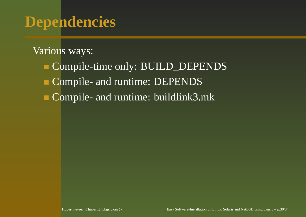#### **Dependencies**

#### Various ways:

Compile-time only: BUILD\_DEPENDS Compile- and runtime: DEPENDS Compile- and runtime: buildlink3.mk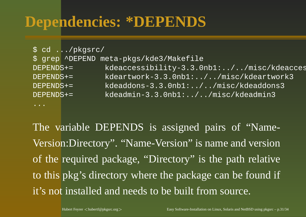#### **Dependencies: \*DEPENDS**

|              | \$ cd /pkgsrc/ |                                          |
|--------------|----------------|------------------------------------------|
|              |                | \$ grep ^DEPEND meta-pkgs/kde3/Makefile  |
| $DEPENDS +=$ |                | kdeaccessibility-3.3.0nb1://misc/kdeacce |
| $DEPENDS +=$ |                | kdeartwork-3.3.0nb1://misc/kdeartwork3   |
| $DEPENDS +=$ |                | kdeaddons-3.3.0nb1://misc/kdeaddons3     |
| $DEPENDS +=$ |                | kdeadmin-3.3.0nb1://misc/kdeadmin3       |
|              |                |                                          |

The variable DEPENDS is assigned pairs of "Name-Version:Directory". "Name-Version" is name and version of the required package, "Directory" is the path relati v e to this pkg' s directory where the package can be found if it's not installed and needs to be built from source.

...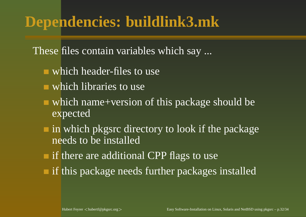#### **Dependencies: buildlink3.mk**

These files contain variables which say ...

- which header-files to use
- which libraries to use
- which name+version of this package should be expected
- in which pkgsrc directory to look if the package needs to be installed
- if there are additional CPP flags to use
- if this package needs further packages installed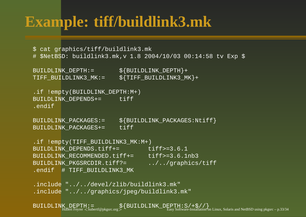#### **Example: tiff/buildlink3.mk**

```
$ cat graphics/tiff/buildlink3.mk
# $NetBSD: buildlink3.mk,v 1.8 2004/10/03 00:14:58 tv Exp $
```
BUILDLINK DEPTH:= \${BUILDLINK DEPTH}+ TIFF\_BUILDLINK3\_MK:= \${TIFF\_BUILDLINK3\_MK}+

.if !empty(BUILDLINK\_DEPTH:M+) BUILDLINK\_DEPENDS+= tiff .endif

BUILDLINK\_PACKAGES: = \${BUILDLINK\_PACKAGES:Ntiff} BUILDLINK\_PACKAGES+= tiff

```
.if !empty(TIFF_BUILDLINK3_MK:M+)
BUILDLINK DEPENDS.tiff+= tiff>=3.6.1
BUILDLINK RECOMMENDED.tiff+= tiff>=3.6.1nb3
BUILDLINK PKGSRCDIR.tiff?= ../../graphics/tiff
.endif # TIFF_BUILDLINK3_MK
```
.include "../../devel/zlib/buildlink3.mk" .include "../../graphics/jpeg/buildlink3.mk"

BUILDLINK\_DEPTH: = \${BUILDLINK\_DEPTH: S\,  $\frac{1}{2}$ are-Installation on Linux, Solaris and NetBSD using pkgsrc – p.33/34